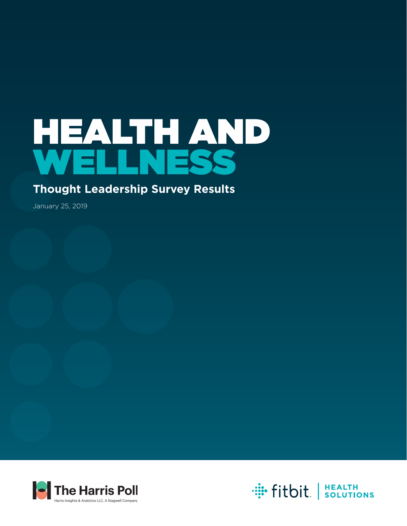# HEALTH AND WELLNESS

### **Thought Leadership Survey Results**

January 25, 2019



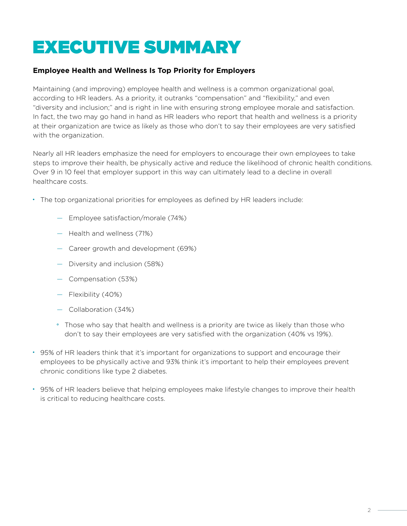# EXECUTIVE SUMMARY

#### **Employee Health and Wellness Is Top Priority for Employers**

Maintaining (and improving) employee health and wellness is a common organizational goal, according to HR leaders. As a priority, it outranks "compensation" and "flexibility," and even "diversity and inclusion;" and is right in line with ensuring strong employee morale and satisfaction. In fact, the two may go hand in hand as HR leaders who report that health and wellness is a priority at their organization are twice as likely as those who don't to say their employees are very satisfied with the organization.

Nearly all HR leaders emphasize the need for employers to encourage their own employees to take steps to improve their health, be physically active and reduce the likelihood of chronic health conditions. Over 9 in 10 feel that employer support in this way can ultimately lead to a decline in overall healthcare costs.

- The top organizational priorities for employees as defined by HR leaders include:
	- Employee satisfaction/morale (74%)
	- Health and wellness (71%)
	- Career growth and development (69%)
	- Diversity and inclusion (58%)
	- Compensation (53%)
	- Flexibility (40%)
	- Collaboration (34%)
	- Those who say that health and wellness is a priority are twice as likely than those who don't to say their employees are very satisfied with the organization (40% vs 19%).
- 95% of HR leaders think that it's important for organizations to support and encourage their employees to be physically active and 93% think it's important to help their employees prevent chronic conditions like type 2 diabetes.
- 95% of HR leaders believe that helping employees make lifestyle changes to improve their health is critical to reducing healthcare costs.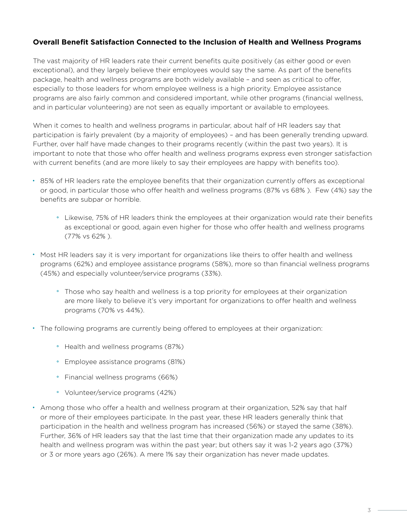#### **Overall Benefit Satisfaction Connected to the Inclusion of Health and Wellness Programs**

The vast majority of HR leaders rate their current benefits quite positively (as either good or even exceptional), and they largely believe their employees would say the same. As part of the benefits package, health and wellness programs are both widely available – and seen as critical to offer, especially to those leaders for whom employee wellness is a high priority. Employee assistance programs are also fairly common and considered important, while other programs (financial wellness, and in particular volunteering) are not seen as equally important or available to employees.

When it comes to health and wellness programs in particular, about half of HR leaders say that participation is fairly prevalent (by a majority of employees) – and has been generally trending upward. Further, over half have made changes to their programs recently (within the past two years). It is important to note that those who offer health and wellness programs express even stronger satisfaction with current benefits (and are more likely to say their employees are happy with benefits too).

- 85% of HR leaders rate the employee benefits that their organization currently offers as exceptional or good, in particular those who offer health and wellness programs (87% vs 68% ). Few (4%) say the benefits are subpar or horrible.
	- Likewise, 75% of HR leaders think the employees at their organization would rate their benefits as exceptional or good, again even higher for those who offer health and wellness programs (77% vs 62% ).
- Most HR leaders say it is very important for organizations like theirs to offer health and wellness programs (62%) and employee assistance programs (58%), more so than financial wellness programs (45%) and especially volunteer/service programs (33%).
	- Those who say health and wellness is a top priority for employees at their organization are more likely to believe it's very important for organizations to offer health and wellness programs (70% vs 44%).
- The following programs are currently being offered to employees at their organization:
	- Health and wellness programs (87%)
	- Employee assistance programs (81%)
	- Financial wellness programs (66%)
	- Volunteer/service programs (42%)
- Among those who offer a health and wellness program at their organization, 52% say that half or more of their employees participate. In the past year, these HR leaders generally think that participation in the health and wellness program has increased (56%) or stayed the same (38%). Further, 36% of HR leaders say that the last time that their organization made any updates to its health and wellness program was within the past year; but others say it was 1-2 years ago (37%) or 3 or more years ago (26%). A mere 1% say their organization has never made updates.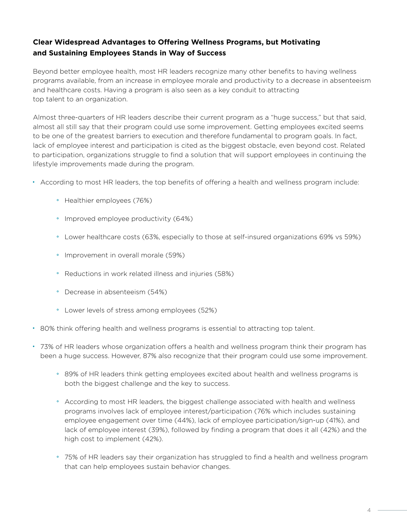#### **Clear Widespread Advantages to Offering Wellness Programs, but Motivating and Sustaining Employees Stands in Way of Success**

Beyond better employee health, most HR leaders recognize many other benefits to having wellness programs available, from an increase in employee morale and productivity to a decrease in absenteeism and healthcare costs. Having a program is also seen as a key conduit to attracting top talent to an organization.

Almost three-quarters of HR leaders describe their current program as a "huge success," but that said, almost all still say that their program could use some improvement. Getting employees excited seems to be one of the greatest barriers to execution and therefore fundamental to program goals. In fact, lack of employee interest and participation is cited as the biggest obstacle, even beyond cost. Related to participation, organizations struggle to find a solution that will support employees in continuing the lifestyle improvements made during the program.

- According to most HR leaders, the top benefits of offering a health and wellness program include:
	- Healthier employees (76%)
	- Improved employee productivity (64%)
	- Lower healthcare costs (63%, especially to those at self-insured organizations 69% vs 59%)
	- Improvement in overall morale (59%)
	- Reductions in work related illness and injuries (58%)
	- Decrease in absenteeism (54%)
	- Lower levels of stress among employees (52%)
- 80% think offering health and wellness programs is essential to attracting top talent.
- 73% of HR leaders whose organization offers a health and wellness program think their program has been a huge success. However, 87% also recognize that their program could use some improvement.
	- 89% of HR leaders think getting employees excited about health and wellness programs is both the biggest challenge and the key to success.
	- According to most HR leaders, the biggest challenge associated with health and wellness programs involves lack of employee interest/participation (76% which includes sustaining employee engagement over time (44%), lack of employee participation/sign-up (41%), and lack of employee interest (39%), followed by finding a program that does it all (42%) and the high cost to implement (42%).
	- 75% of HR leaders say their organization has struggled to find a health and wellness program that can help employees sustain behavior changes.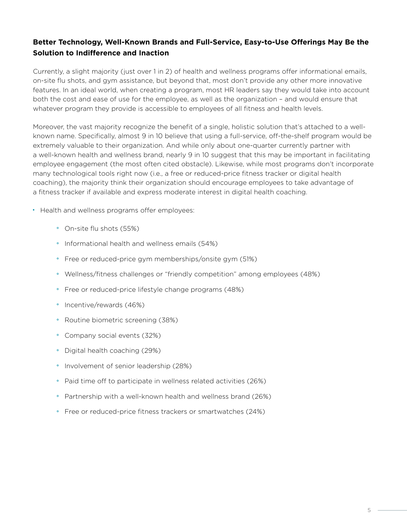#### **Better Technology, Well-Known Brands and Full-Service, Easy-to-Use Offerings May Be the Solution to Indifference and Inaction**

Currently, a slight majority (just over 1 in 2) of health and wellness programs offer informational emails, on-site flu shots, and gym assistance, but beyond that, most don't provide any other more innovative features. In an ideal world, when creating a program, most HR leaders say they would take into account both the cost and ease of use for the employee, as well as the organization – and would ensure that whatever program they provide is accessible to employees of all fitness and health levels.

Moreover, the vast majority recognize the benefit of a single, holistic solution that's attached to a wellknown name. Specifically, almost 9 in 10 believe that using a full-service, off-the-shelf program would be extremely valuable to their organization. And while only about one-quarter currently partner with a well-known health and wellness brand, nearly 9 in 10 suggest that this may be important in facilitating employee engagement (the most often cited obstacle). Likewise, while most programs don't incorporate many technological tools right now (i.e., a free or reduced-price fitness tracker or digital health coaching), the majority think their organization should encourage employees to take advantage of a fitness tracker if available and express moderate interest in digital health coaching.

- Health and wellness programs offer employees:
	- On-site flu shots (55%)
	- Informational health and wellness emails (54%)
	- Free or reduced-price gym memberships/onsite gym (51%)
	- Wellness/fitness challenges or "friendly competition" among employees (48%)
	- Free or reduced-price lifestyle change programs (48%)
	- Incentive/rewards (46%)
	- Routine biometric screening (38%)
	- Company social events (32%)
	- Digital health coaching (29%)
	- Involvement of senior leadership (28%)
	- Paid time off to participate in wellness related activities (26%)
	- Partnership with a well-known health and wellness brand (26%)
	- Free or reduced-price fitness trackers or smartwatches (24%)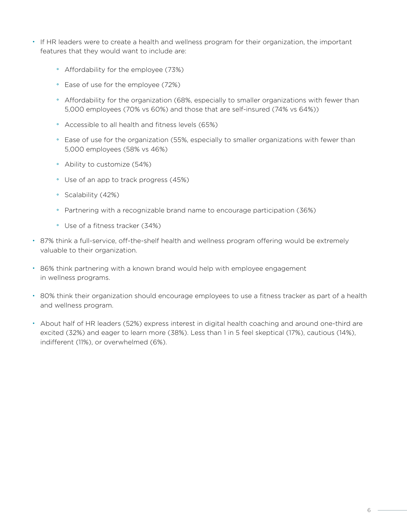- If HR leaders were to create a health and wellness program for their organization, the important features that they would want to include are:
	- Affordability for the employee (73%)
	- Ease of use for the employee (72%)
	- Affordability for the organization (68%, especially to smaller organizations with fewer than 5,000 employees (70% vs 60%) and those that are self-insured (74% vs 64%))
	- Accessible to all health and fitness levels (65%)
	- Ease of use for the organization (55%, especially to smaller organizations with fewer than 5,000 employees (58% vs 46%)
	- Ability to customize (54%)
	- Use of an app to track progress (45%)
	- Scalability (42%)
	- Partnering with a recognizable brand name to encourage participation (36%)
	- Use of a fitness tracker (34%)
- 87% think a full-service, off-the-shelf health and wellness program offering would be extremely valuable to their organization.
- 86% think partnering with a known brand would help with employee engagement in wellness programs.
- 80% think their organization should encourage employees to use a fitness tracker as part of a health and wellness program.
- About half of HR leaders (52%) express interest in digital health coaching and around one-third are excited (32%) and eager to learn more (38%). Less than 1 in 5 feel skeptical (17%), cautious (14%), indifferent (11%), or overwhelmed (6%).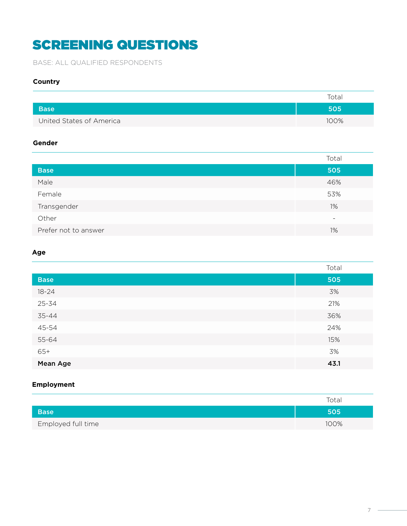# SCREENING QUESTIONS

BASE: ALL QUALIFIED RESPONDENTS

#### **Country**

|                          | Total |
|--------------------------|-------|
| <b>Base</b>              | 505   |
| United States of America | 100%  |

#### **Gender**

|                      | Total |
|----------------------|-------|
| <b>Base</b>          | 505   |
| Male                 | 46%   |
| Female               | 53%   |
| Transgender          | 1%    |
| Other                | ٠     |
| Prefer not to answer | 1%    |

#### **Age**

|             | Total |
|-------------|-------|
| <b>Base</b> | 505   |
| $18 - 24$   | 3%    |
| 25-34       | 21%   |
| 35-44       | 36%   |
| 45-54       | 24%   |
| 55-64       | 15%   |
| $65+$       | 3%    |
| Mean Age    | 43.1  |

#### **Employment**

|                    | Total |
|--------------------|-------|
| <b>Base</b>        | 505   |
| Employed full time | 100%  |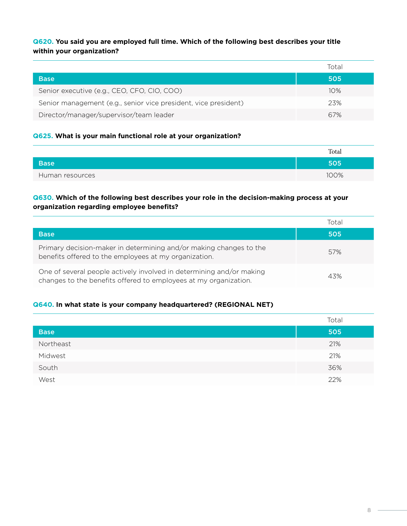**Q620. You said you are employed full time. Which of the following best describes your title within your organization?**

|                                                                 | Total |
|-----------------------------------------------------------------|-------|
| <b>Base</b>                                                     | 505   |
| Senior executive (e.g., CEO, CFO, CIO, COO)                     | 10%   |
| Senior management (e.g., senior vice president, vice president) | 23%   |
| Director/manager/supervisor/team leader                         | 67%   |

#### **Q625. What is your main functional role at your organization?**

|                 | Total |
|-----------------|-------|
| <b>Base</b>     | 505   |
| Human resources | 100%  |

#### **Q630. Which of the following best describes your role in the decision-making process at your organization regarding employee benefits?**

|                                                                                                                                          | Total |
|------------------------------------------------------------------------------------------------------------------------------------------|-------|
| <b>Base</b>                                                                                                                              | 505   |
| Primary decision-maker in determining and/or making changes to the<br>benefits offered to the employees at my organization.              | 57%   |
| One of several people actively involved in determining and/or making<br>changes to the benefits offered to employees at my organization. | 43%   |

#### **Q640. In what state is your company headquartered? (REGIONAL NET)**

|             | Total |
|-------------|-------|
| <b>Base</b> | 505   |
| Northeast   | 21%   |
| Midwest     | 21%   |
| South       | 36%   |
| West        | 22%   |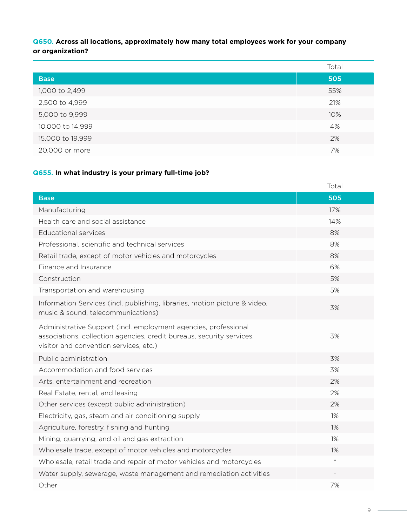**Q650. Across all locations, approximately how many total employees work for your company or organization?**

|                  | Total |
|------------------|-------|
| <b>Base</b>      | 505   |
| 1,000 to 2,499   | 55%   |
| 2,500 to 4,999   | 21%   |
| 5,000 to 9,999   | 10%   |
| 10,000 to 14,999 | 4%    |
| 15,000 to 19,999 | 2%    |
| 20,000 or more   | 7%    |

#### **Q655. In what industry is your primary full-time job?**

|                                                                                                                                                                                    | Total  |
|------------------------------------------------------------------------------------------------------------------------------------------------------------------------------------|--------|
| <b>Base</b>                                                                                                                                                                        | 505    |
| Manufacturing                                                                                                                                                                      | 17%    |
| Health care and social assistance                                                                                                                                                  | 14%    |
| <b>Educational services</b>                                                                                                                                                        | 8%     |
| Professional, scientific and technical services                                                                                                                                    | 8%     |
| Retail trade, except of motor vehicles and motorcycles                                                                                                                             | 8%     |
| Finance and Insurance                                                                                                                                                              | 6%     |
| Construction                                                                                                                                                                       | 5%     |
| Transportation and warehousing                                                                                                                                                     | 5%     |
| Information Services (incl. publishing, libraries, motion picture & video,<br>music & sound, telecommunications)                                                                   | 3%     |
| Administrative Support (incl. employment agencies, professional<br>associations, collection agencies, credit bureaus, security services,<br>visitor and convention services, etc.) | 3%     |
| Public administration                                                                                                                                                              | 3%     |
| Accommodation and food services                                                                                                                                                    | 3%     |
| Arts, entertainment and recreation                                                                                                                                                 | 2%     |
| Real Estate, rental, and leasing                                                                                                                                                   | 2%     |
| Other services (except public administration)                                                                                                                                      | 2%     |
| Electricity, gas, steam and air conditioning supply                                                                                                                                | 1%     |
| Agriculture, forestry, fishing and hunting                                                                                                                                         | $1\%$  |
| Mining, quarrying, and oil and gas extraction                                                                                                                                      | 1%     |
| Wholesale trade, except of motor vehicles and motorcycles                                                                                                                          | $1\%$  |
| Wholesale, retail trade and repair of motor vehicles and motorcycles                                                                                                               | $\ast$ |
| Water supply, sewerage, waste management and remediation activities                                                                                                                |        |
| Other                                                                                                                                                                              | 7%     |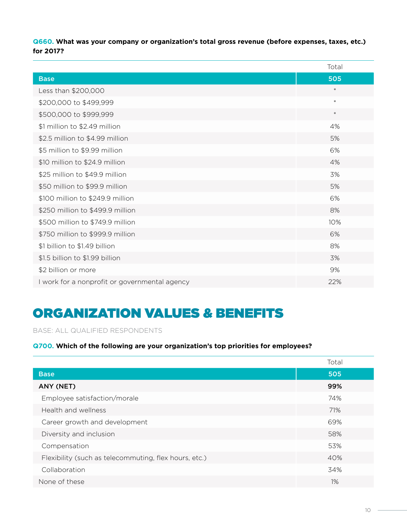**Q660. What was your company or organization's total gross revenue (before expenses, taxes, etc.) for 2017?**

|                                               | Total  |
|-----------------------------------------------|--------|
| <b>Base</b>                                   | 505    |
| Less than \$200,000                           | $\ast$ |
| \$200,000 to \$499,999                        | $\ast$ |
| \$500,000 to \$999,999                        | $\ast$ |
| \$1 million to \$2.49 million                 | 4%     |
| \$2.5 million to \$4.99 million               | 5%     |
| \$5 million to \$9.99 million                 | 6%     |
| \$10 million to \$24.9 million                | 4%     |
| \$25 million to \$49.9 million                | 3%     |
| \$50 million to \$99.9 million                | 5%     |
| \$100 million to \$249.9 million              | 6%     |
| \$250 million to \$499.9 million              | 8%     |
| \$500 million to \$749.9 million              | 10%    |
| \$750 million to \$999.9 million              | 6%     |
| \$1 billion to \$1.49 billion                 | 8%     |
| \$1.5 billion to \$1.99 billion               | 3%     |
| \$2 billion or more                           | 9%     |
| I work for a nonprofit or governmental agency | 22%    |

# ORGANIZATION VALUES & BENEFITS

BASE: ALL QUALIFIED RESPONDENTS

#### **Q700. Which of the following are your organization's top priorities for employees?**

|                                                       | Total |
|-------------------------------------------------------|-------|
| <b>Base</b>                                           | 505   |
| ANY (NET)                                             | 99%   |
| Employee satisfaction/morale                          | 74%   |
| Health and wellness                                   | 71%   |
| Career growth and development                         | 69%   |
| Diversity and inclusion                               | 58%   |
| Compensation                                          | 53%   |
| Flexibility (such as telecommuting, flex hours, etc.) | 40%   |
| Collaboration                                         | 34%   |
| None of these                                         | 1%    |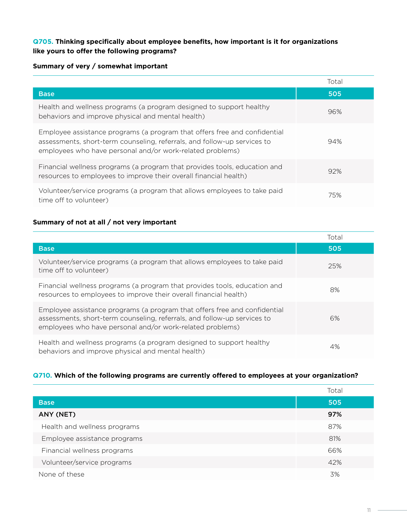#### **Q705. Thinking specifically about employee benefits, how important is it for organizations like yours to offer the following programs?**

#### **Summary of very / somewhat important**

|                                                                                                                                                                                                                    | Total |
|--------------------------------------------------------------------------------------------------------------------------------------------------------------------------------------------------------------------|-------|
| <b>Base</b>                                                                                                                                                                                                        | 505   |
| Health and wellness programs (a program designed to support healthy<br>behaviors and improve physical and mental health)                                                                                           | 96%   |
| Employee assistance programs (a program that offers free and confidential<br>assessments, short-term counseling, referrals, and follow-up services to<br>employees who have personal and/or work-related problems) | 94%   |
| Financial wellness programs (a program that provides tools, education and<br>resources to employees to improve their overall financial health)                                                                     | 92%   |
| Volunteer/service programs (a program that allows employees to take paid<br>time off to volunteer)                                                                                                                 | 75%   |

#### **Summary of not at all / not very important**

|                                                                                                                                                                                                                    | Total |
|--------------------------------------------------------------------------------------------------------------------------------------------------------------------------------------------------------------------|-------|
| <b>Base</b>                                                                                                                                                                                                        | 505   |
| Volunteer/service programs (a program that allows employees to take paid<br>time off to volunteer)                                                                                                                 | 25%   |
| Financial wellness programs (a program that provides tools, education and<br>resources to employees to improve their overall financial health)                                                                     | 8%    |
| Employee assistance programs (a program that offers free and confidential<br>assessments, short-term counseling, referrals, and follow-up services to<br>employees who have personal and/or work-related problems) | 6%    |
| Health and wellness programs (a program designed to support healthy<br>behaviors and improve physical and mental health)                                                                                           | 4%    |

#### **Q710. Which of the following programs are currently offered to employees at your organization?**

|                              | Total |
|------------------------------|-------|
| <b>Base</b>                  | 505   |
| ANY (NET)                    | 97%   |
| Health and wellness programs | 87%   |
| Employee assistance programs | 81%   |
| Financial wellness programs  | 66%   |
| Volunteer/service programs   | 42%   |
| None of these                | 3%    |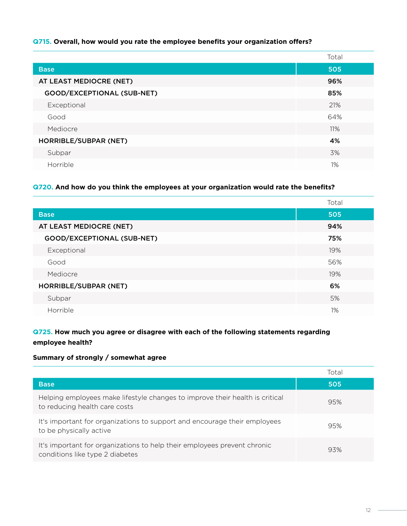#### **Q715. Overall, how would you rate the employee benefits your organization offers?**

|                            | Total |
|----------------------------|-------|
| <b>Base</b>                | 505   |
| AT LEAST MEDIOCRE (NET)    | 96%   |
| GOOD/EXCEPTIONAL (SUB-NET) | 85%   |
| Exceptional                | 21%   |
| Good                       | 64%   |
| Mediocre                   | 11%   |
| HORRIBLE/SUBPAR (NET)      | 4%    |
| Subpar                     | 3%    |
| Horrible                   | 1%    |

#### **Q720. And how do you think the employees at your organization would rate the benefits?**

|                            | Total |
|----------------------------|-------|
| <b>Base</b>                | 505   |
| AT LEAST MEDIOCRE (NET)    | 94%   |
| GOOD/EXCEPTIONAL (SUB-NET) | 75%   |
| Exceptional                | 19%   |
| Good                       | 56%   |
| Mediocre                   | 19%   |
| HORRIBLE/SUBPAR (NET)      | 6%    |
| Subpar                     | 5%    |
| Horrible                   | $1\%$ |

#### **Q725. How much you agree or disagree with each of the following statements regarding employee health?**

#### **Summary of strongly / somewhat agree**

|                                                                                                               | Total |
|---------------------------------------------------------------------------------------------------------------|-------|
| <b>Base</b>                                                                                                   | 505   |
| Helping employees make lifestyle changes to improve their health is critical<br>to reducing health care costs | 95%   |
| It's important for organizations to support and encourage their employees<br>to be physically active          | 95%   |
| It's important for organizations to help their employees prevent chronic<br>conditions like type 2 diabetes   | 93%   |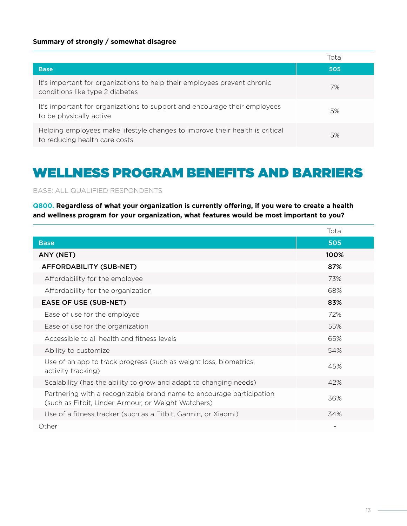#### **Summary of strongly / somewhat disagree**

|                                                                                                               | Total |
|---------------------------------------------------------------------------------------------------------------|-------|
| <b>Base</b>                                                                                                   | 505   |
| It's important for organizations to help their employees prevent chronic<br>conditions like type 2 diabetes   | 7%    |
| It's important for organizations to support and encourage their employees<br>to be physically active          | 5%    |
| Helping employees make lifestyle changes to improve their health is critical<br>to reducing health care costs | 5%    |

## WELLNESS PROGRAM BENEFITS AND BARRIERS

BASE: ALL QUALIFIED RESPONDENTS

**Q800. Regardless of what your organization is currently offering, if you were to create a health and wellness program for your organization, what features would be most important to you?**

|                                                                                                                            | Total |
|----------------------------------------------------------------------------------------------------------------------------|-------|
| <b>Base</b>                                                                                                                | 505   |
| ANY (NET)                                                                                                                  | 100%  |
| AFFORDABILITY (SUB-NET)                                                                                                    | 87%   |
| Affordability for the employee                                                                                             | 73%   |
| Affordability for the organization                                                                                         | 68%   |
| <b>EASE OF USE (SUB-NET)</b>                                                                                               | 83%   |
| Ease of use for the employee                                                                                               | 72%   |
| Ease of use for the organization                                                                                           | 55%   |
| Accessible to all health and fitness levels                                                                                | 65%   |
| Ability to customize                                                                                                       | 54%   |
| Use of an app to track progress (such as weight loss, biometrics,<br>activity tracking)                                    | 45%   |
| Scalability (has the ability to grow and adapt to changing needs)                                                          | 42%   |
| Partnering with a recognizable brand name to encourage participation<br>(such as Fitbit, Under Armour, or Weight Watchers) | 36%   |
| Use of a fitness tracker (such as a Fitbit, Garmin, or Xiaomi)                                                             | 34%   |
| Other                                                                                                                      |       |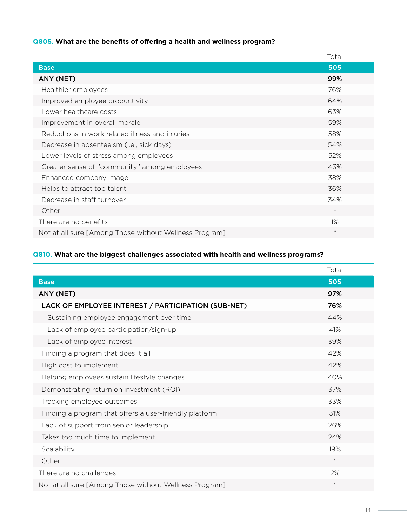#### **Q805. What are the benefits of offering a health and wellness program?**

|                                                        | Total                    |
|--------------------------------------------------------|--------------------------|
| <b>Base</b>                                            | 505                      |
| ANY (NET)                                              | 99%                      |
| Healthier employees                                    | 76%                      |
| Improved employee productivity                         | 64%                      |
| Lower healthcare costs                                 | 63%                      |
| Improvement in overall morale                          | 59%                      |
| Reductions in work related illness and injuries        | 58%                      |
| Decrease in absenteeism (i.e., sick days)              | 54%                      |
| Lower levels of stress among employees                 | 52%                      |
| Greater sense of "community" among employees           | 43%                      |
| Enhanced company image                                 | 38%                      |
| Helps to attract top talent                            | 36%                      |
| Decrease in staff turnover                             | 34%                      |
| Other                                                  | $\overline{\phantom{a}}$ |
| There are no benefits                                  | 1%                       |
| Not at all sure [Among Those without Wellness Program] | $\ast$                   |

#### **Q810. What are the biggest challenges associated with health and wellness programs?**

|                                                        | Total  |
|--------------------------------------------------------|--------|
| <b>Base</b>                                            | 505    |
| ANY (NET)                                              | 97%    |
| LACK OF EMPLOYEE INTEREST / PARTICIPATION (SUB-NET)    | 76%    |
| Sustaining employee engagement over time               | 44%    |
| Lack of employee participation/sign-up                 | 41%    |
| Lack of employee interest                              | 39%    |
| Finding a program that does it all                     | 42%    |
| High cost to implement                                 | 42%    |
| Helping employees sustain lifestyle changes            | 40%    |
| Demonstrating return on investment (ROI)               | 37%    |
| Tracking employee outcomes                             | 33%    |
| Finding a program that offers a user-friendly platform | 31%    |
| Lack of support from senior leadership                 | 26%    |
| Takes too much time to implement                       | 24%    |
| Scalability                                            | 19%    |
| Other                                                  | $\ast$ |
| There are no challenges                                | 2%     |
| Not at all sure [Among Those without Wellness Program] | $\ast$ |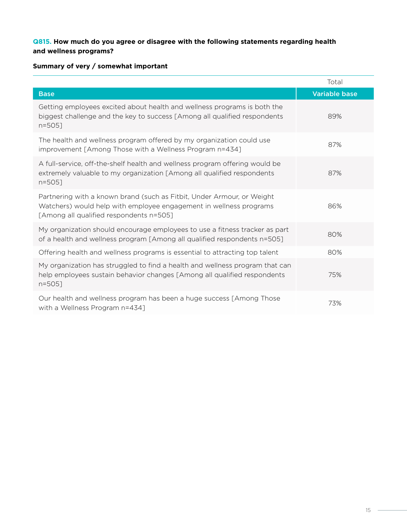#### **Q815. How much do you agree or disagree with the following statements regarding health and wellness programs?**

#### **Summary of very / somewhat important**

|                                                                                                                                                                                         | Total                |
|-----------------------------------------------------------------------------------------------------------------------------------------------------------------------------------------|----------------------|
| <b>Base</b>                                                                                                                                                                             | <b>Variable base</b> |
| Getting employees excited about health and wellness programs is both the<br>biggest challenge and the key to success [Among all qualified respondents<br>$n = 505$                      | 89%                  |
| The health and wellness program offered by my organization could use<br>improvement [Among Those with a Wellness Program n=434]                                                         | 87%                  |
| A full-service, off-the-shelf health and wellness program offering would be<br>extremely valuable to my organization [Among all qualified respondents<br>$n = 505$                      | 87%                  |
| Partnering with a known brand (such as Fitbit, Under Armour, or Weight<br>Watchers) would help with employee engagement in wellness programs<br>[Among all qualified respondents n=505] | 86%                  |
| My organization should encourage employees to use a fitness tracker as part<br>of a health and wellness program [Among all qualified respondents n=505]                                 | 80%                  |
| Offering health and wellness programs is essential to attracting top talent                                                                                                             | 80%                  |
| My organization has struggled to find a health and wellness program that can<br>help employees sustain behavior changes [Among all qualified respondents<br>$n = 505$ ]                 | 75%                  |
| Our health and wellness program has been a huge success [Among Those<br>with a Wellness Program n=434]                                                                                  | 73%                  |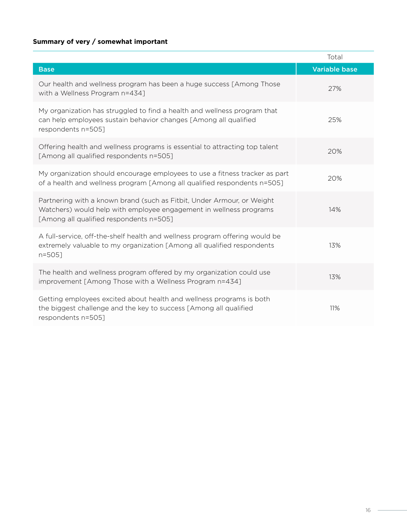#### **Summary of very / somewhat important**

|                                                                                                                                                                                         | Total                |
|-----------------------------------------------------------------------------------------------------------------------------------------------------------------------------------------|----------------------|
| <b>Base</b>                                                                                                                                                                             | <b>Variable base</b> |
| Our health and wellness program has been a huge success [Among Those]<br>with a Wellness Program n=434]                                                                                 | 27%                  |
| My organization has struggled to find a health and wellness program that<br>can help employees sustain behavior changes [Among all qualified<br>respondents n=505]                      | 25%                  |
| Offering health and wellness programs is essential to attracting top talent<br>[Among all qualified respondents n=505]                                                                  | 20%                  |
| My organization should encourage employees to use a fitness tracker as part<br>of a health and wellness program [Among all qualified respondents n=505]                                 | 20%                  |
| Partnering with a known brand (such as Fitbit, Under Armour, or Weight<br>Watchers) would help with employee engagement in wellness programs<br>[Among all qualified respondents n=505] | 14%                  |
| A full-service, off-the-shelf health and wellness program offering would be<br>extremely valuable to my organization [Among all qualified respondents<br>$n = 505$                      | 13%                  |
| The health and wellness program offered by my organization could use<br>improvement [Among Those with a Wellness Program n=434]                                                         | 13%                  |
| Getting employees excited about health and wellness programs is both<br>the biggest challenge and the key to success [Among all qualified<br>respondents n=505]                         | 11%                  |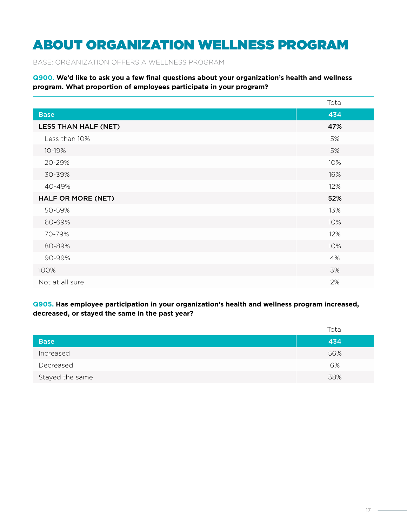# ABOUT ORGANIZATION WELLNESS PROGRAM

BASE: ORGANIZATION OFFERS A WELLNESS PROGRAM

**Q900. We'd like to ask you a few final questions about your organization's health and wellness program. What proportion of employees participate in your program?**

|                             | Total |
|-----------------------------|-------|
| <b>Base</b>                 | 434   |
| <b>LESS THAN HALF (NET)</b> | 47%   |
| Less than 10%               | 5%    |
| 10-19%                      | 5%    |
| 20-29%                      | 10%   |
| 30-39%                      | 16%   |
| 40-49%                      | 12%   |
| HALF OR MORE (NET)          | 52%   |
| 50-59%                      | 13%   |
| 60-69%                      | 10%   |
| 70-79%                      | 12%   |
| 80-89%                      | 10%   |
| 90-99%                      | 4%    |
| 100%                        | 3%    |
| Not at all sure             | 2%    |

**Q905. Has employee participation in your organization's health and wellness program increased, decreased, or stayed the same in the past year?**

|                 | Total |
|-----------------|-------|
| <b>Base</b>     | 434   |
| Increased       | 56%   |
| Decreased       | 6%    |
| Stayed the same | 38%   |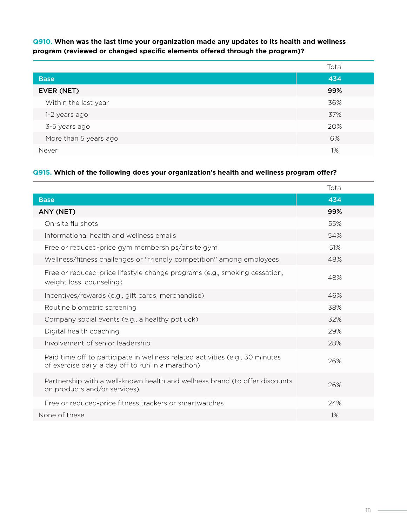**Q910. When was the last time your organization made any updates to its health and wellness program (reviewed or changed specific elements offered through the program)?**

|                       | Total |
|-----------------------|-------|
| <b>Base</b>           | 434   |
| EVER (NET)            | 99%   |
| Within the last year  | 36%   |
| 1-2 years ago         | 37%   |
| 3-5 years ago         | 20%   |
| More than 5 years ago | 6%    |
| Never                 | 1%    |

#### **Q915. Which of the following does your organization's health and wellness program offer?**

|                                                                                                                                     | Total |
|-------------------------------------------------------------------------------------------------------------------------------------|-------|
| <b>Base</b>                                                                                                                         | 434   |
| ANY (NET)                                                                                                                           | 99%   |
| On-site flu shots                                                                                                                   | 55%   |
| Informational health and wellness emails                                                                                            | 54%   |
| Free or reduced-price gym memberships/onsite gym                                                                                    | 51%   |
| Wellness/fitness challenges or "friendly competition" among employees                                                               | 48%   |
| Free or reduced-price lifestyle change programs (e.g., smoking cessation,<br>weight loss, counseling)                               | 48%   |
| Incentives/rewards (e.g., gift cards, merchandise)                                                                                  | 46%   |
| Routine biometric screening                                                                                                         | 38%   |
| Company social events (e.g., a healthy potluck)                                                                                     | 32%   |
| Digital health coaching                                                                                                             | 29%   |
| Involvement of senior leadership                                                                                                    | 28%   |
| Paid time off to participate in wellness related activities (e.g., 30 minutes<br>of exercise daily, a day off to run in a marathon) | 26%   |
| Partnership with a well-known health and wellness brand (to offer discounts<br>on products and/or services)                         | 26%   |
| Free or reduced-price fitness trackers or smartwatches                                                                              | 24%   |
| None of these                                                                                                                       | 1%    |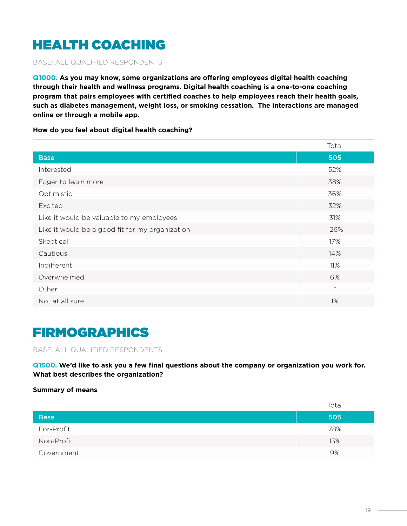# HEALTH COACHING

BASE: ALL QUALIFIED RESPONDENTS

**Q1000. As you may know, some organizations are offering employees digital health coaching through their health and wellness programs. Digital health coaching is a one-to-one coaching program that pairs employees with certified coaches to help employees reach their health goals, such as diabetes management, weight loss, or smoking cessation. The interactions are managed online or through a mobile app.** 

**How do you feel about digital health coaching?**

|                                                 | Total  |
|-------------------------------------------------|--------|
| <b>Base</b>                                     | 505    |
| Interested                                      | 52%    |
| Eager to learn more                             | 38%    |
| Optimistic                                      | 36%    |
| Excited                                         | 32%    |
| Like it would be valuable to my employees       | 31%    |
| Like it would be a good fit for my organization | 26%    |
| Skeptical                                       | 17%    |
| Cautious                                        | 14%    |
| Indifferent                                     | 11%    |
| Overwhelmed                                     | 6%     |
| Other                                           | $\ast$ |
| Not at all sure                                 | 1%     |

### FIRMOGRAPHICS

BASE: ALL QUALIFIED RESPONDENTS

**Q1500. We'd like to ask you a few final questions about the company or organization you work for. What best describes the organization?**

#### **Summary of means**

|             | Total |
|-------------|-------|
| <b>Base</b> | 505   |
| For-Profit  | 78%   |
| Non-Profit  | 13%   |
| Government  | 9%    |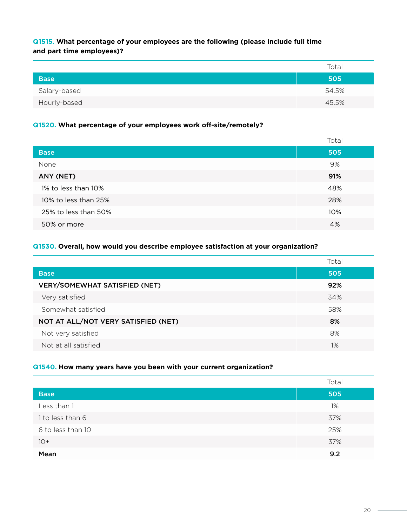#### **Q1515. What percentage of your employees are the following (please include full time and part time employees)?**

|              | Total |
|--------------|-------|
| <b>Base</b>  | 505   |
| Salary-based | 54.5% |
| Hourly-based | 45.5% |

#### **Q1520. What percentage of your employees work off-site/remotely?**

|                      | Total |
|----------------------|-------|
| <b>Base</b>          | 505   |
| None                 | 9%    |
| ANY (NET)            | 91%   |
| 1% to less than 10%  | 48%   |
| 10% to less than 25% | 28%   |
| 25% to less than 50% | 10%   |
| 50% or more          | 4%    |

#### **Q1530. Overall, how would you describe employee satisfaction at your organization?**

|                                      | Total |
|--------------------------------------|-------|
| <b>Base</b>                          | 505   |
| <b>VERY/SOMEWHAT SATISFIED (NET)</b> | 92%   |
| Very satisfied                       | 34%   |
| Somewhat satisfied                   | 58%   |
| NOT AT ALL/NOT VERY SATISFIED (NET)  | 8%    |
| Not very satisfied                   | 8%    |
| Not at all satisfied                 | 1%    |

#### **Q1540. How many years have you been with your current organization?**

|                   | Total |
|-------------------|-------|
| <b>Base</b>       | 505   |
| Less than 1       | 1%    |
| 1 to less than 6  | 37%   |
| 6 to less than 10 | 25%   |
| $10+$             | 37%   |
| Mean              | 9.2   |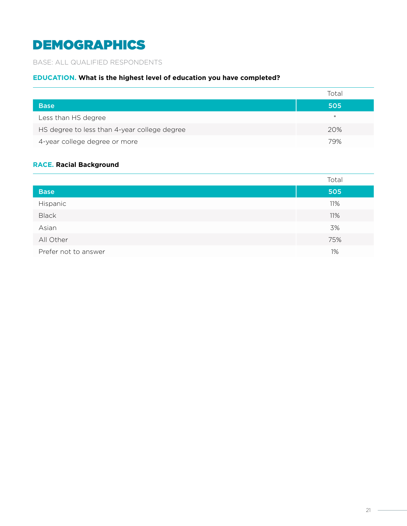# DEMOGRAPHICS

#### BASE: ALL QUALIFIED RESPONDENTS

#### **EDUCATION. What is the highest level of education you have completed?**

|                                              | Total  |
|----------------------------------------------|--------|
| <b>Base</b>                                  | 505    |
| Less than HS degree                          | $\ast$ |
| HS degree to less than 4-year college degree | 20%    |
| 4-year college degree or more                | 79%    |

#### **RACE. Racial Background**

|                      | Total |
|----------------------|-------|
| <b>Base</b>          | 505   |
| Hispanic             | 11%   |
| <b>Black</b>         | 11%   |
| Asian                | 3%    |
| All Other            | 75%   |
| Prefer not to answer | 1%    |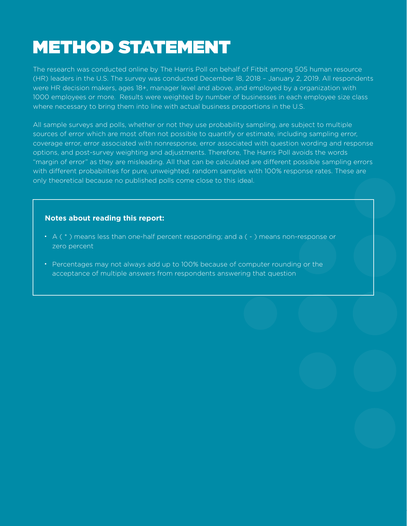# METHOD STATEMENT

The research was conducted online by The Harris Poll on behalf of Fitbit among 505 human resource (HR) leaders in the U.S. The survey was conducted December 18, 2018 – January 2, 2019. All respondents were HR decision makers, ages 18+, manager level and above, and employed by a organization with 1000 employees or more. Results were weighted by number of businesses in each employee size class where necessary to bring them into line with actual business proportions in the U.S.

All sample surveys and polls, whether or not they use probability sampling, are subject to multiple sources of error which are most often not possible to quantify or estimate, including sampling error, coverage error, error associated with nonresponse, error associated with question wording and response options, and post-survey weighting and adjustments. Therefore, The Harris Poll avoids the words "margin of error" as they are misleading. All that can be calculated are different possible sampling errors with different probabilities for pure, unweighted, random samples with 100% response rates. These are only theoretical because no published polls come close to this ideal.

#### **Notes about reading this report:**

- $\bullet$  A ( $\ast$ ) means less than one-half percent responding; and a ( $\text{-}$ ) means non-response or zero percent
- Percentages may not always add up to 100% because of computer rounding or the acceptance of multiple answers from respondents answering that question